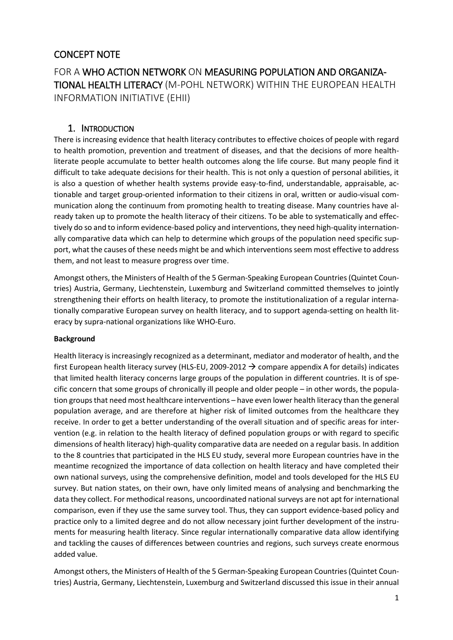# CONCEPT NOTE

FOR A WHO ACTION NETWORK ON MEASURING POPULATION AND ORGANIZA-TIONAL HEALTH LITERACY (M-POHL NETWORK) WITHIN THE EUROPEAN HEALTH INFORMATION INITIATIVE (EHII)

## 1. INTRODUCTION

There is increasing evidence that health literacy contributes to effective choices of people with regard to health promotion, prevention and treatment of diseases, and that the decisions of more healthliterate people accumulate to better health outcomes along the life course. But many people find it difficult to take adequate decisions for their health. This is not only a question of personal abilities, it is also a question of whether health systems provide easy-to-find, understandable, appraisable, actionable and target group-oriented information to their citizens in oral, written or audio-visual communication along the continuum from promoting health to treating disease. Many countries have already taken up to promote the health literacy of their citizens. To be able to systematically and effectively do so and to inform evidence-based policy and interventions, they need high-quality internationally comparative data which can help to determine which groups of the population need specific support, what the causes of these needs might be and which interventions seem most effective to address them, and not least to measure progress over time.

Amongst others, the Ministers of Health of the 5 German-Speaking European Countries (Quintet Countries) Austria, Germany, Liechtenstein, Luxemburg and Switzerland committed themselves to jointly strengthening their efforts on health literacy, to promote the institutionalization of a regular internationally comparative European survey on health literacy, and to support agenda-setting on health literacy by supra-national organizations like WHO-Euro.

#### **Background**

Health literacy is increasingly recognized as a determinant, mediator and moderator of health, and the first European health literacy survey (HLS-EU, 2009-2012  $\rightarrow$  compare appendix A for details) indicates that limited health literacy concerns large groups of the population in different countries. It is of specific concern that some groups of chronically ill people and older people – in other words, the population groups that need most healthcare interventions – have even lower health literacy than the general population average, and are therefore at higher risk of limited outcomes from the healthcare they receive. In order to get a better understanding of the overall situation and of specific areas for intervention (e.g. in relation to the health literacy of defined population groups or with regard to specific dimensions of health literacy) high-quality comparative data are needed on a regular basis. In addition to the 8 countries that participated in the HLS EU study, several more European countries have in the meantime recognized the importance of data collection on health literacy and have completed their own national surveys, using the comprehensive definition, model and tools developed for the HLS EU survey. But nation states, on their own, have only limited means of analysing and benchmarking the data they collect. For methodical reasons, uncoordinated national surveys are not apt for international comparison, even if they use the same survey tool. Thus, they can support evidence-based policy and practice only to a limited degree and do not allow necessary joint further development of the instruments for measuring health literacy. Since regular internationally comparative data allow identifying and tackling the causes of differences between countries and regions, such surveys create enormous added value.

Amongst others, the Ministers of Health of the 5 German-Speaking European Countries (Quintet Countries) Austria, Germany, Liechtenstein, Luxemburg and Switzerland discussed this issue in their annual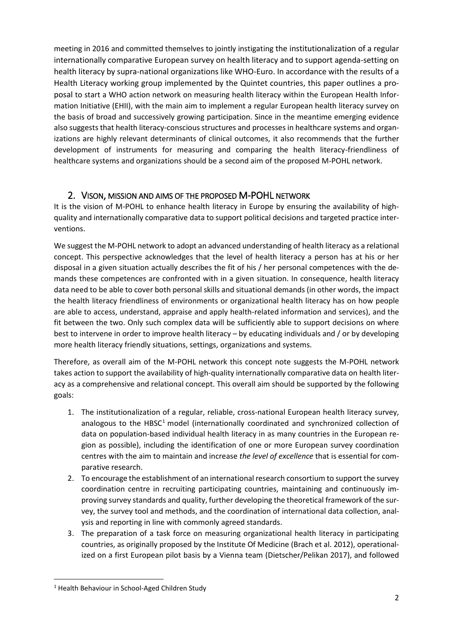meeting in 2016 and committed themselves to jointly instigating the institutionalization of a regular internationally comparative European survey on health literacy and to support agenda-setting on health literacy by supra-national organizations like WHO-Euro. In accordance with the results of a Health Literacy working group implemented by the Quintet countries, this paper outlines a proposal to start a WHO action network on measuring health literacy within the European Health Information Initiative (EHII), with the main aim to implement a regular European health literacy survey on the basis of broad and successively growing participation. Since in the meantime emerging evidence also suggests that health literacy-conscious structures and processes in healthcare systems and organizations are highly relevant determinants of clinical outcomes, it also recommends that the further development of instruments for measuring and comparing the health literacy-friendliness of healthcare systems and organizations should be a second aim of the proposed M-POHL network.

## 2. VISON, MISSION AND AIMS OF THE PROPOSED M-POHL NETWORK

It is the vision of M-POHL to enhance health literacy in Europe by ensuring the availability of highquality and internationally comparative data to support political decisions and targeted practice interventions.

We suggest the M-POHL network to adopt an advanced understanding of health literacy as a relational concept. This perspective acknowledges that the level of health literacy a person has at his or her disposal in a given situation actually describes the fit of his / her personal competences with the demands these competences are confronted with in a given situation. In consequence, health literacy data need to be able to cover both personal skills and situational demands (in other words, the impact the health literacy friendliness of environments or organizational health literacy has on how people are able to access, understand, appraise and apply health-related information and services), and the fit between the two. Only such complex data will be sufficiently able to support decisions on where best to intervene in order to improve health literacy – by educating individuals and / or by developing more health literacy friendly situations, settings, organizations and systems.

Therefore, as overall aim of the M-POHL network this concept note suggests the M-POHL network takes action to support the availability of high-quality internationally comparative data on health literacy as a comprehensive and relational concept. This overall aim should be supported by the following goals:

- 1. The institutionalization of a regular, reliable, cross-national European health literacy survey, analogous to the  $H BSC<sup>1</sup>$  model (internationally coordinated and synchronized collection of data on population-based individual health literacy in as many countries in the European region as possible), including the identification of one or more European survey coordination centres with the aim to maintain and increase *the level of excellence* that is essential for comparative research.
- 2. To encourage the establishment of an international research consortium to support the survey coordination centre in recruiting participating countries, maintaining and continuously improving survey standards and quality, further developing the theoretical framework of the survey, the survey tool and methods, and the coordination of international data collection, analysis and reporting in line with commonly agreed standards.
- 3. The preparation of a task force on measuring organizational health literacy in participating countries, as originally proposed by the Institute Of Medicine (Brach et al. 2012), operationalized on a first European pilot basis by a Vienna team (Dietscher/Pelikan 2017), and followed

 $\overline{\phantom{a}}$ <sup>1</sup> Health Behaviour in School-Aged Children Study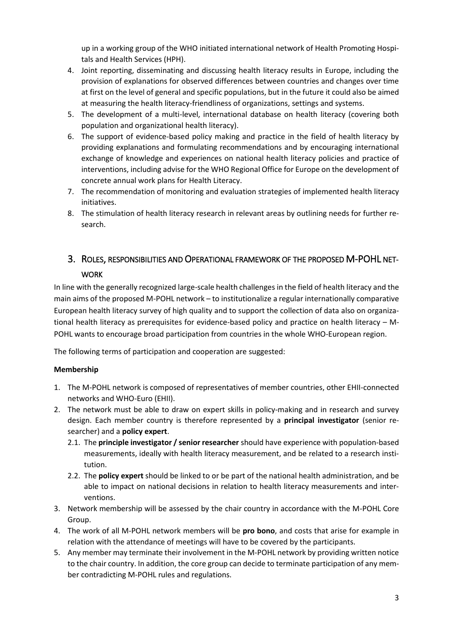up in a working group of the WHO initiated international network of Health Promoting Hospitals and Health Services (HPH).

- 4. Joint reporting, disseminating and discussing health literacy results in Europe, including the provision of explanations for observed differences between countries and changes over time at first on the level of general and specific populations, but in the future it could also be aimed at measuring the health literacy-friendliness of organizations, settings and systems.
- 5. The development of a multi-level, international database on health literacy (covering both population and organizational health literacy).
- 6. The support of evidence-based policy making and practice in the field of health literacy by providing explanations and formulating recommendations and by encouraging international exchange of knowledge and experiences on national health literacy policies and practice of interventions, including advise for the WHO Regional Office for Europe on the development of concrete annual work plans for Health Literacy.
- 7. The recommendation of monitoring and evaluation strategies of implemented health literacy initiatives.
- 8. The stimulation of health literacy research in relevant areas by outlining needs for further research.

# 3. ROLES, RESPONSIBILITIES AND OPERATIONAL FRAMEWORK OF THE PROPOSED M-POHL NET-

### WORK

In line with the generally recognized large-scale health challenges in the field of health literacy and the main aims of the proposed M-POHL network – to institutionalize a regular internationally comparative European health literacy survey of high quality and to support the collection of data also on organizational health literacy as prerequisites for evidence-based policy and practice on health literacy – M-POHL wants to encourage broad participation from countries in the whole WHO-European region.

The following terms of participation and cooperation are suggested:

#### **Membership**

- 1. The M-POHL network is composed of representatives of member countries, other EHII-connected networks and WHO-Euro (EHII).
- 2. The network must be able to draw on expert skills in policy-making and in research and survey design. Each member country is therefore represented by a **principal investigator** (senior researcher) and a **policy expert**.
	- 2.1. The **principle investigator / senior researcher** should have experience with population-based measurements, ideally with health literacy measurement, and be related to a research institution.
	- 2.2. The **policy expert** should be linked to or be part of the national health administration, and be able to impact on national decisions in relation to health literacy measurements and interventions.
- 3. Network membership will be assessed by the chair country in accordance with the M-POHL Core Group.
- 4. The work of all M-POHL network members will be **pro bono**, and costs that arise for example in relation with the attendance of meetings will have to be covered by the participants.
- 5. Any member may terminate their involvement in the M-POHL network by providing written notice to the chair country. In addition, the core group can decide to terminate participation of any member contradicting M-POHL rules and regulations.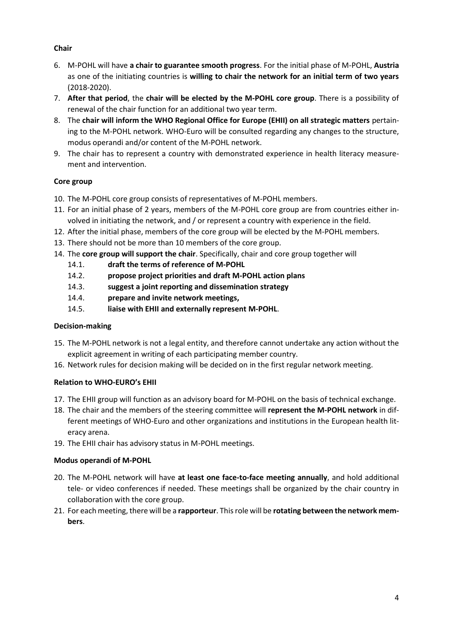#### **Chair**

- 6. M-POHL will have **a chair to guarantee smooth progress**. For the initial phase of M-POHL, **Austria** as one of the initiating countries is **willing to chair the network for an initial term of two years**  (2018-2020).
- 7. **After that period**, the **chair will be elected by the M-POHL core group**. There is a possibility of renewal of the chair function for an additional two year term.
- 8. The **chair will inform the WHO Regional Office for Europe (EHII) on all strategic matters** pertaining to the M-POHL network. WHO-Euro will be consulted regarding any changes to the structure, modus operandi and/or content of the M-POHL network.
- 9. The chair has to represent a country with demonstrated experience in health literacy measurement and intervention.

#### **Core group**

- 10. The M-POHL core group consists of representatives of M-POHL members.
- 11. For an initial phase of 2 years, members of the M-POHL core group are from countries either involved in initiating the network, and / or represent a country with experience in the field.
- 12. After the initial phase, members of the core group will be elected by the M-POHL members.
- 13. There should not be more than 10 members of the core group.
- 14. The **core group will support the chair**. Specifically, chair and core group together will
	- 14.1. **draft the terms of reference of M-POHL**
	- 14.2. **propose project priorities and draft M-POHL action plans**
	- 14.3. **suggest a joint reporting and dissemination strategy**
	- 14.4. **prepare and invite network meetings,**
	- 14.5. **liaise with EHII and externally represent M-POHL**.

#### **Decision-making**

- 15. The M-POHL network is not a legal entity, and therefore cannot undertake any action without the explicit agreement in writing of each participating member country.
- 16. Network rules for decision making will be decided on in the first regular network meeting.

#### **Relation to WHO-EURO's EHII**

- 17. The EHII group will function as an advisory board for M-POHL on the basis of technical exchange.
- 18. The chair and the members of the steering committee will **represent the M-POHL network** in different meetings of WHO-Euro and other organizations and institutions in the European health literacy arena.
- 19. The EHII chair has advisory status in M-POHL meetings.

#### **Modus operandi of M-POHL**

- 20. The M-POHL network will have **at least one face-to-face meeting annually**, and hold additional tele- or video conferences if needed. These meetings shall be organized by the chair country in collaboration with the core group.
- 21. For each meeting, there will be a **rapporteur**. This role will be **rotating between the network members**.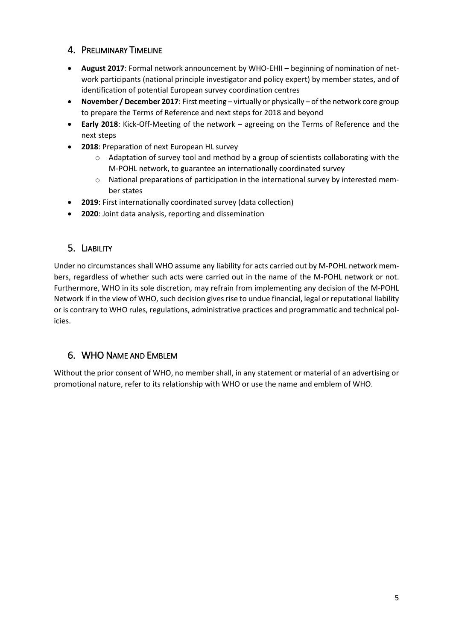## 4. PRELIMINARY TIMELINE

- **August 2017**: Formal network announcement by WHO-EHII beginning of nomination of network participants (national principle investigator and policy expert) by member states, and of identification of potential European survey coordination centres
- **November / December 2017**: First meeting virtually or physically of the network core group to prepare the Terms of Reference and next steps for 2018 and beyond
- **Early 2018**: Kick-Off-Meeting of the network agreeing on the Terms of Reference and the next steps
- **2018**: Preparation of next European HL survey
	- $\circ$  Adaptation of survey tool and method by a group of scientists collaborating with the M-POHL network, to guarantee an internationally coordinated survey
	- o National preparations of participation in the international survey by interested member states
- **2019**: First internationally coordinated survey (data collection)
- **2020**: Joint data analysis, reporting and dissemination

# 5. LIABILITY

Under no circumstances shall WHO assume any liability for acts carried out by M-POHL network members, regardless of whether such acts were carried out in the name of the M-POHL network or not. Furthermore, WHO in its sole discretion, may refrain from implementing any decision of the M-POHL Network if in the view of WHO, such decision gives rise to undue financial, legal or reputational liability or is contrary to WHO rules, regulations, administrative practices and programmatic and technical policies.

## 6. WHO NAME AND EMBLEM

Without the prior consent of WHO, no member shall, in any statement or material of an advertising or promotional nature, refer to its relationship with WHO or use the name and emblem of WHO.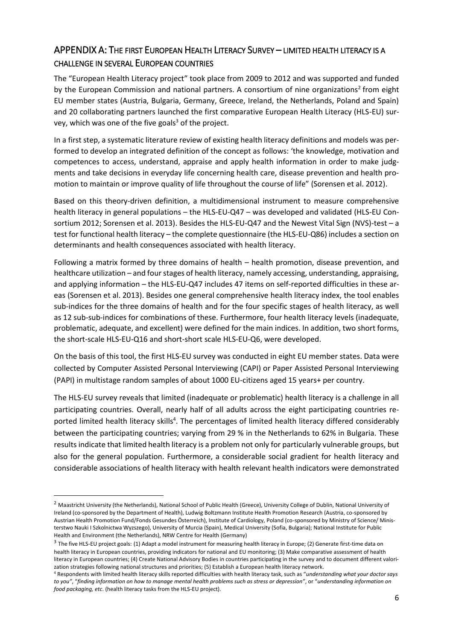# APPENDIX A: THE FIRST EUROPEAN HEALTH LITERACY SURVEY – LIMITED HEALTH LITERACY IS A CHALLENGE IN SEVERAL EUROPEAN COUNTRIES

The "European Health Literacy project" took place from 2009 to 2012 and was supported and funded by the European Commission and national partners. A consortium of nine organizations<sup>2</sup> from eight EU member states (Austria, Bulgaria, Germany, Greece, Ireland, the Netherlands, Poland and Spain) and 20 collaborating partners launched the first comparative European Health Literacy (HLS-EU) survey, which was one of the five goals<sup>3</sup> of the project.

In a first step, a systematic literature review of existing health literacy definitions and models was performed to develop an integrated definition of the concept as follows: 'the knowledge, motivation and competences to access, understand, appraise and apply health information in order to make judgments and take decisions in everyday life concerning health care, disease prevention and health promotion to maintain or improve quality of life throughout the course of life" (Sorensen et al. 2012).

Based on this theory-driven definition, a multidimensional instrument to measure comprehensive health literacy in general populations – the HLS-EU-Q47 – was developed and validated (HLS-EU Consortium 2012; Sorensen et al. 2013). Besides the HLS-EU-Q47 and the Newest Vital Sign (NVS)-test – a test for functional health literacy – the complete questionnaire (the HLS-EU-Q86) includes a section on determinants and health consequences associated with health literacy.

Following a matrix formed by three domains of health – health promotion, disease prevention, and healthcare utilization – and four stages of health literacy, namely accessing, understanding, appraising, and applying information – the HLS-EU-Q47 includes 47 items on self-reported difficulties in these areas (Sorensen et al. 2013). Besides one general comprehensive health literacy index, the tool enables sub-indices for the three domains of health and for the four specific stages of health literacy, as well as 12 sub-sub-indices for combinations of these. Furthermore, four health literacy levels (inadequate, problematic, adequate, and excellent) were defined for the main indices. In addition, two short forms, the short-scale HLS-EU-Q16 and short-short scale HLS-EU-Q6, were developed.

On the basis of this tool, the first HLS-EU survey was conducted in eight EU member states. Data were collected by Computer Assisted Personal Interviewing (CAPI) or Paper Assisted Personal Interviewing (PAPI) in multistage random samples of about 1000 EU-citizens aged 15 years+ per country.

The HLS-EU survey reveals that limited (inadequate or problematic) health literacy is a challenge in all participating countries. Overall, nearly half of all adults across the eight participating countries reported limited health literacy skills<sup>4</sup>. The percentages of limited health literacy differed considerably between the participating countries; varying from 29 % in the Netherlands to 62% in Bulgaria. These results indicate that limited health literacy is a problem not only for particularly vulnerable groups, but also for the general population. Furthermore, a considerable social gradient for health literacy and considerable associations of health literacy with health relevant health indicators were demonstrated

l

<sup>&</sup>lt;sup>2</sup> Maastricht University (the Netherlands), National School of Public Health (Greece), University College of Dublin, National University of Ireland (co-sponsored by the Department of Health), Ludwig Boltzmann Institute Health Promotion Research (Austria, co-sponsored by Austrian Health Promotion Fund/Fonds Gesundes Österreich), Institute of Cardiology, Poland (co-sponsored by Ministry of Science/ Ministerstwo Nauki I Szkolnictwa Wyzszego), University of Murcia (Spain), Medical University (Sofia, Bulgaria); National Institute for Public Health and Environment (the Netherlands), NRW Centre for Health (Germany)

<sup>&</sup>lt;sup>3</sup> The five HLS-EU project goals: (1) Adapt a model instrument for measuring health literacy in Europe; (2) Generate first-time data on health literacy in European countries, providing indicators for national and EU monitoring; (3) Make comparative assessment of health literacy in European countries; (4) Create National Advisory Bodies in countries participating in the survey and to document different valorization strategies following national structures and priorities; (5) Establish a European health literacy network.

<sup>4</sup> Respondents with limited health literacy skills reported difficulties with health literacy task, such as "*understanding what your doctor says to you"*, "*finding information on how to manage mental health problems such as stress or depression"*, or "*understanding information on food packaging, etc*. (health literacy tasks from the HLS-EU project).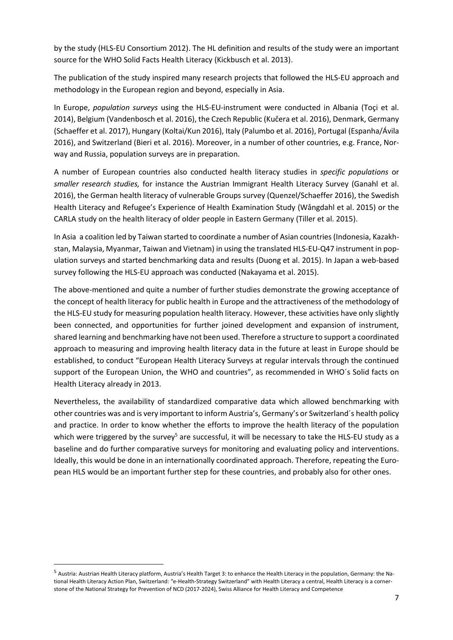by the study (HLS-EU Consortium 2012). The HL definition and results of the study were an important source for the WHO Solid Facts Health Literacy (Kickbusch et al. 2013).

The publication of the study inspired many research projects that followed the HLS-EU approach and methodology in the European region and beyond, especially in Asia.

In Europe, *population surveys* using the HLS-EU-instrument were conducted in Albania (Toçi et al. 2014), Belgium (Vandenbosch et al. 2016), the Czech Republic (Kučera et al. 2016), Denmark, Germany (Schaeffer et al. 2017), Hungary (Koltai/Kun 2016), Italy (Palumbo et al. 2016), Portugal (Espanha/Ávila 2016), and Switzerland (Bieri et al. 2016). Moreover, in a number of other countries, e.g. France, Norway and Russia, population surveys are in preparation.

A number of European countries also conducted health literacy studies in *specific populations* or *smaller research studies,* for instance the Austrian Immigrant Health Literacy Survey (Ganahl et al. 2016), the German health literacy of vulnerable Groups survey (Quenzel/Schaeffer 2016), the Swedish Health Literacy and Refugee's Experience of Health Examination Study (Wångdahl et al. 2015) or the CARLA study on the health literacy of older people in Eastern Germany (Tiller et al. 2015).

In Asia a coalition led by Taiwan started to coordinate a number of Asian countries (Indonesia, Kazakhstan, Malaysia, Myanmar, Taiwan and Vietnam) in using the translated HLS-EU-Q47 instrument in population surveys and started benchmarking data and results (Duong et al. 2015). In Japan a web-based survey following the HLS-EU approach was conducted (Nakayama et al. 2015).

The above-mentioned and quite a number of further studies demonstrate the growing acceptance of the concept of health literacy for public health in Europe and the attractiveness of the methodology of the HLS-EU study for measuring population health literacy. However, these activities have only slightly been connected, and opportunities for further joined development and expansion of instrument, shared learning and benchmarking have not been used. Therefore a structure to support a coordinated approach to measuring and improving health literacy data in the future at least in Europe should be established, to conduct "European Health Literacy Surveys at regular intervals through the continued support of the European Union, the WHO and countries", as recommended in WHO´s Solid facts on Health Literacy already in 2013.

Nevertheless, the availability of standardized comparative data which allowed benchmarking with other countries was and is very important to inform Austria's, Germany's or Switzerland´s health policy and practice. In order to know whether the efforts to improve the health literacy of the population which were triggered by the survey<sup>5</sup> are successful, it will be necessary to take the HLS-EU study as a baseline and do further comparative surveys for monitoring and evaluating policy and interventions. Ideally, this would be done in an internationally coordinated approach. Therefore, repeating the European HLS would be an important further step for these countries, and probably also for other ones.

l

<sup>5</sup> Austria: Austrian Health Literacy platform, Austria's Health Target 3: to enhance the Health Literacy in the population, Germany: the National Health Literacy Action Plan, Switzerland: "e-Health-Strategy Switzerland" with Health Literacy a central, Health Literacy is a cornerstone of the National Strategy for Prevention of NCD (2017-2024), Swiss Alliance for Health Literacy and Competence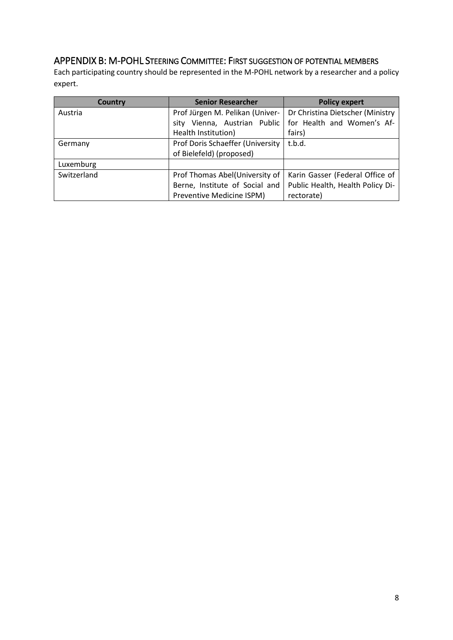# APPENDIX B: M-POHL STEERING COMMITTEE: FIRST SUGGESTION OF POTENTIAL MEMBERS

Each participating country should be represented in the M-POHL network by a researcher and a policy expert.

| Country     | <b>Senior Researcher</b>         | <b>Policy expert</b>             |
|-------------|----------------------------------|----------------------------------|
| Austria     | Prof Jürgen M. Pelikan (Univer-  | Dr Christina Dietscher (Ministry |
|             | sity Vienna, Austrian Public     | for Health and Women's Af-       |
|             | Health Institution)              | fairs)                           |
| Germany     | Prof Doris Schaeffer (University | t.b.d.                           |
|             | of Bielefeld) (proposed)         |                                  |
| Luxemburg   |                                  |                                  |
| Switzerland | Prof Thomas Abel(University of   | Karin Gasser (Federal Office of  |
|             | Berne, Institute of Social and   | Public Health, Health Policy Di- |
|             | Preventive Medicine ISPM)        | rectorate)                       |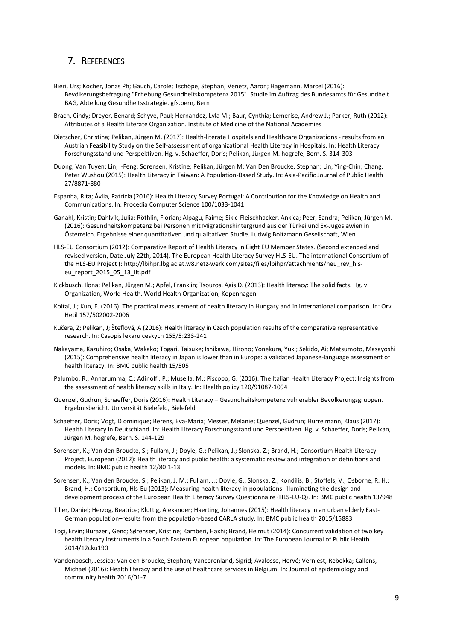#### 7. REFERENCES

- Bieri, Urs; Kocher, Jonas Ph; Gauch, Carole; Tschöpe, Stephan; Venetz, Aaron; Hagemann, Marcel (2016): Bevölkerungsbefragung "Erhebung Gesundheitskompetenz 2015". Studie im Auftrag des Bundesamts für Gesundheit BAG, Abteilung Gesundheitsstrategie. gfs.bern, Bern
- Brach, Cindy; Dreyer, Benard; Schyve, Paul; Hernandez, Lyla M.; Baur, Cynthia; Lemerise, Andrew J.; Parker, Ruth (2012): Attributes of a Health Literate Organization. Institute of Medicine of the National Academies
- Dietscher, Christina; Pelikan, Jürgen M. (2017): Health-literate Hospitals and Healthcare Organizations results from an Austrian Feasibility Study on the Self-assessment of organizational Health Literacy in Hospitals. In: Health Literacy Forschungsstand und Perspektiven. Hg. v. Schaeffer, Doris; Pelikan, Jürgen M. hogrefe, Bern. S. 314-303
- Duong, Van Tuyen; Lin, I-Feng; Sorensen, Kristine; Pelikan, Jürgen M; Van Den Broucke, Stephan; Lin, Ying-Chin; Chang, Peter Wushou (2015): Health Literacy in Taiwan: A Population-Based Study. In: Asia-Pacific Journal of Public Health 27/8871-880
- Espanha, Rita; Ávila, Patrícia (2016): Health Literacy Survey Portugal: A Contribution for the Knowledge on Health and Communications. In: Procedia Computer Science 100/1033-1041
- Ganahl, Kristin; Dahlvik, Julia; Röthlin, Florian; Alpagu, Faime; Sikic-Fleischhacker, Ankica; Peer, Sandra; Pelikan, Jürgen M. (2016): Gesundheitskompetenz bei Personen mit Migrationshintergrund aus der Türkei und Ex-Jugoslawien in Österreich. Ergebnisse einer quantitativen und qualitativen Studie. Ludwig Boltzmann Gesellschaft, Wien
- HLS-EU Consortium (2012): Comparative Report of Health Literacy in Eight EU Member States. (Second extended and revised version, Date July 22th, 2014). The European Health Literacy Survey HLS-EU. The international Consortium of the HLS-EU Project (: [http://lbihpr.lbg.ac.at.w8.netz-werk.com/sites/files/lbihpr/attachments/neu\\_rev\\_hls](http://lbihpr.lbg.ac.at.w8.netz-werk.com/sites/files/lbihpr/attachments/neu_rev_hls-eu_report_2015_05_13_lit.pdf)eu report 2015 05 13 lit.pdf
- Kickbusch, Ilona; Pelikan, Jürgen M.; Apfel, Franklin; Tsouros, Agis D. (2013): Health literacy: The solid facts. Hg. v. Organization, World Health. World Health Organization, Kopenhagen
- Koltai, J.; Kun, E. (2016): The practical measurement of health literacy in Hungary and in international comparison. In: Orv Hetil 157/502002-2006
- Kučera, Z; Pelikan, J; Šteflová, A (2016): Health literacy in Czech population results of the comparative representative research. In: Casopis lekaru ceskych 155/5:233-241
- Nakayama, Kazuhiro; Osaka, Wakako; Togari, Taisuke; Ishikawa, Hirono; Yonekura, Yuki; Sekido, Ai; Matsumoto, Masayoshi (2015): Comprehensive health literacy in Japan is lower than in Europe: a validated Japanese-language assessment of health literacy. In: BMC public health 15/505
- Palumbo, R.; Annarumma, C.; Adinolfi, P.; Musella, M.; Piscopo, G. (2016): The Italian Health Literacy Project: Insights from the assessment of health literacy skills in Italy. In: Health policy 120/91087-1094
- Quenzel, Gudrun; Schaeffer, Doris (2016): Health Literacy Gesundheitskompetenz vulnerabler Bevölkerungsgruppen. Ergebnisbericht. Universität Bielefeld, Bielefeld
- Schaeffer, Doris; Vogt, D ominique; Berens, Eva-Maria; Messer, Melanie; Quenzel, Gudrun; Hurrelmann, Klaus (2017): Health Literacy in Deutschland. In: Health Literacy Forschungsstand und Perspektiven. Hg. v. Schaeffer, Doris; Pelikan, Jürgen M. hogrefe, Bern. S. 144-129
- Sorensen, K.; Van den Broucke, S.; Fullam, J.; Doyle, G.; Pelikan, J.; Slonska, Z.; Brand, H.; Consortium Health Literacy Project, European (2012): Health literacy and public health: a systematic review and integration of definitions and models. In: BMC public health 12/80:1-13
- Sorensen, K.; Van den Broucke, S.; Pelikan, J. M.; Fullam, J.; Doyle, G.; Slonska, Z.; Kondilis, B.; Stoffels, V.; Osborne, R. H.; Brand, H.; Consortium, Hls-Eu (2013): Measuring health literacy in populations: illuminating the design and development process of the European Health Literacy Survey Questionnaire (HLS-EU-Q). In: BMC public health 13/948
- Tiller, Daniel; Herzog, Beatrice; Kluttig, Alexander; Haerting, Johannes (2015): Health literacy in an urban elderly East-German population–results from the population-based CARLA study. In: BMC public health 2015/15883
- Toçi, Ervin; Burazeri, Genc; Sørensen, Kristine; Kamberi, Haxhi; Brand, Helmut (2014): Concurrent validation of two key health literacy instruments in a South Eastern European population. In: The European Journal of Public Health 2014/12cku190
- Vandenbosch, Jessica; Van den Broucke, Stephan; Vancorenland, Sigrid; Avalosse, Hervé; Verniest, Rebekka; Callens, Michael (2016): Health literacy and the use of healthcare services in Belgium. In: Journal of epidemiology and community health 2016/01-7